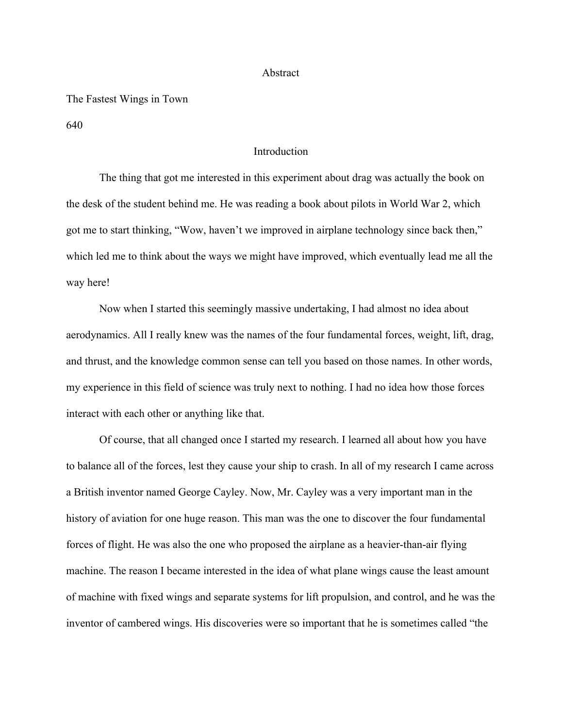#### Abstract

#### The Fastest Wings in Town

640

## Introduction

The thing that got me interested in this experiment about drag was actually the book on the desk of the student behind me. He was reading a book about pilots in World War 2, which got me to start thinking, "Wow, haven't we improved in airplane technology since back then," which led me to think about the ways we might have improved, which eventually lead me all the way here!

Now when I started this seemingly massive undertaking, I had almost no idea about aerodynamics. All I really knew was the names of the four fundamental forces, weight, lift, drag, and thrust, and the knowledge common sense can tell you based on those names. In other words, my experience in this field of science was truly next to nothing. I had no idea how those forces interact with each other or anything like that.

Of course, that all changed once I started my research. I learned all about how you have to balance all of the forces, lest they cause your ship to crash. In all of my research I came across a British inventor named George Cayley. Now, Mr. Cayley was a very important man in the history of aviation for one huge reason. This man was the one to discover the four fundamental forces of flight. He was also the one who proposed the airplane as a heavier-than-air flying machine. The reason I became interested in the idea of what plane wings cause the least amount of machine with fixed wings and separate systems for lift propulsion, and control, and he was the inventor of cambered wings. His discoveries were so important that he is sometimes called "the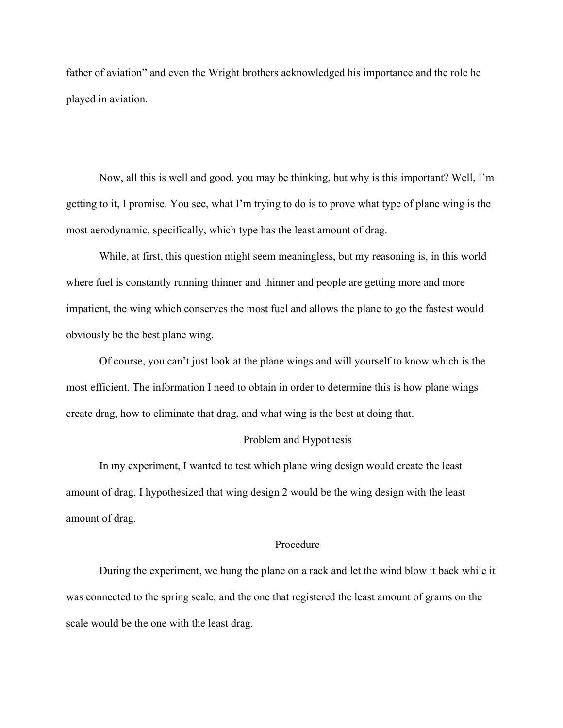father of aviation" and even the Wright brothers acknowledged his importance and the role he played in aviation.

Now, all this is well and good, you may be thinking, but why is this important? Well, I'm getting to it, I promise. You see, what I'm trying to do is to prove what type of plane wing is the most aerodynamic, specifically, which type has the least amount of drag.

While, at first, this question might seem meaningless, but my reasoning is, in this world where fuel is constantly running thinner and thinner and people are getting more and more impatient, the wing which conserves the most fuel and allows the plane to go the fastest would obviously be the best plane wing.

Of course, you can't just look at the plane wings and will yourself to know which is the most efficient. The information I need to obtain in order to determine this is how plane wings create drag, how to eliminate that drag, and what wing is the best at doing that.

## Problem and Hypothesis

In my experiment, I wanted to test which plane wing design would create the least amount of drag. I hypothesized that wing design 2 would be the wing design with the least amount of drag.

### Procedure

During the experiment, we hung the plane on a rack and let the wind blow it back while it was connected to the spring scale, and the one that registered the least amount of grams on the scale would be the one with the least drag.